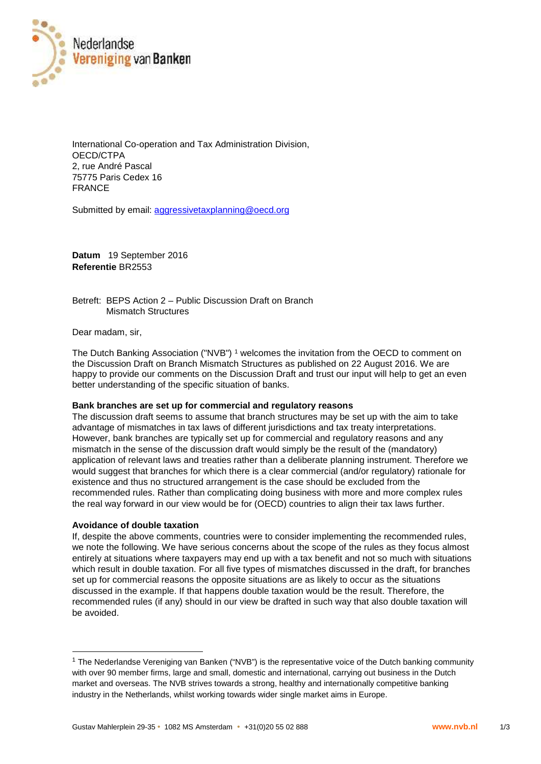

International Co-operation and Tax Administration Division, OECD/CTPA 2, rue André Pascal 75775 Paris Cedex 16 FRANCE

Submitted by email: aggressivetaxplanning@oecd.org

**Datum** 19 September 2016 **Referentie** BR2553

Betreft: BEPS Action 2 – Public Discussion Draft on Branch Mismatch Structures

Dear madam, sir,

The Dutch Banking Association ("NVB") <sup>1</sup> welcomes the invitation from the OECD to comment on the Discussion Draft on Branch Mismatch Structures as published on 22 August 2016. We are happy to provide our comments on the Discussion Draft and trust our input will help to get an even better understanding of the specific situation of banks.

## **Bank branches are set up for commercial and regulatory reasons**

The discussion draft seems to assume that branch structures may be set up with the aim to take advantage of mismatches in tax laws of different jurisdictions and tax treaty interpretations. However, bank branches are typically set up for commercial and regulatory reasons and any mismatch in the sense of the discussion draft would simply be the result of the (mandatory) application of relevant laws and treaties rather than a deliberate planning instrument. Therefore we would suggest that branches for which there is a clear commercial (and/or regulatory) rationale for existence and thus no structured arrangement is the case should be excluded from the recommended rules. Rather than complicating doing business with more and more complex rules the real way forward in our view would be for (OECD) countries to align their tax laws further.

## **Avoidance of double taxation**

If, despite the above comments, countries were to consider implementing the recommended rules, we note the following. We have serious concerns about the scope of the rules as they focus almost entirely at situations where taxpayers may end up with a tax benefit and not so much with situations which result in double taxation. For all five types of mismatches discussed in the draft, for branches set up for commercial reasons the opposite situations are as likely to occur as the situations discussed in the example. If that happens double taxation would be the result. Therefore, the recommended rules (if any) should in our view be drafted in such way that also double taxation will be avoided.

<sup>1</sup> The Nederlandse Vereniging van Banken ("NVB") is the representative voice of the Dutch banking community with over 90 member firms, large and small, domestic and international, carrying out business in the Dutch market and overseas. The NVB strives towards a strong, healthy and internationally competitive banking industry in the Netherlands, whilst working towards wider single market aims in Europe.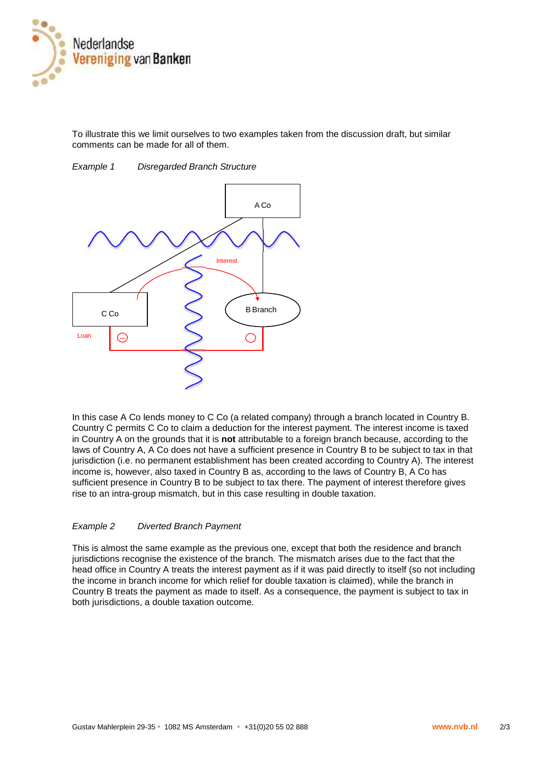

To illustrate this we limit ourselves to two examples taken from the discussion draft, but similar comments can be made for all of them.



*Example 1 Disregarded Branch Structure*

In this case A Co lends money to C Co (a related company) through a branch located in Country B. Country C permits C Co to claim a deduction for the interest payment. The interest income is taxed in Country A on the grounds that it is **not** attributable to a foreign branch because, according to the laws of Country A, A Co does not have a sufficient presence in Country B to be subject to tax in that jurisdiction (i.e. no permanent establishment has been created according to Country A). The interest income is, however, also taxed in Country B as, according to the laws of Country B, A Co has sufficient presence in Country B to be subject to tax there. The payment of interest therefore gives rise to an intra-group mismatch, but in this case resulting in double taxation.

## *Example 2 Diverted Branch Payment*

This is almost the same example as the previous one, except that both the residence and branch jurisdictions recognise the existence of the branch. The mismatch arises due to the fact that the head office in Country A treats the interest payment as if it was paid directly to itself (so not including the income in branch income for which relief for double taxation is claimed), while the branch in Country B treats the payment as made to itself. As a consequence, the payment is subject to tax in both jurisdictions, a double taxation outcome.